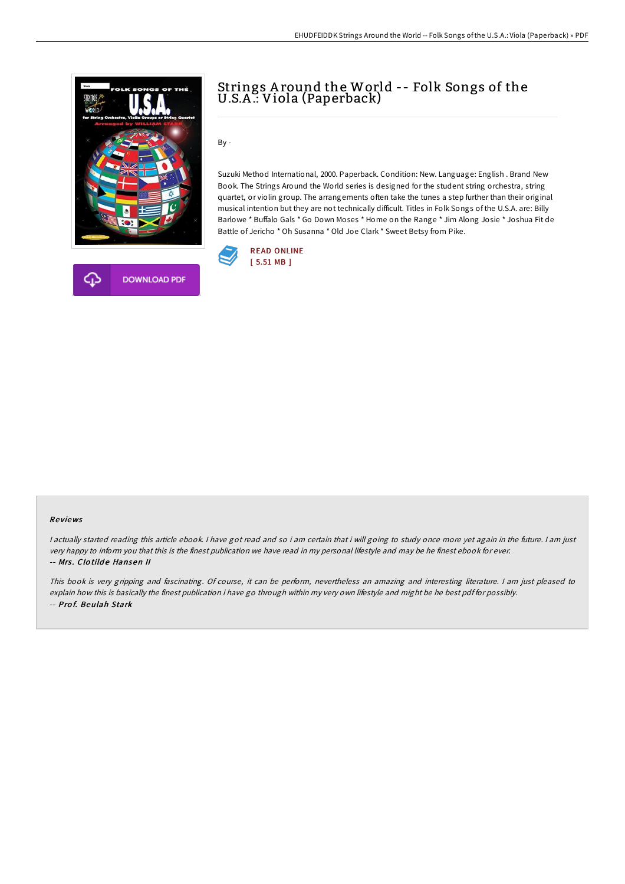



## Strings A round the World -- Folk Songs of the U.S.A .: Viola (Paperback)

By -

Suzuki Method International, 2000. Paperback. Condition: New. Language: English . Brand New Book. The Strings Around the World series is designed for the student string orchestra, string quartet, or violin group. The arrangements often take the tunes a step further than their original musical intention but they are not technically difficult. Titles in Folk Songs of the U.S.A. are: Billy Barlowe \* Buffalo Gals \* Go Down Moses \* Home on the Range \* Jim Along Josie \* Joshua Fit de Battle of Jericho \* Oh Susanna \* Old Joe Clark \* Sweet Betsy from Pike.



#### Re views

<sup>I</sup> actually started reading this article ebook. <sup>I</sup> have got read and so i am certain that i will going to study once more yet again in the future. <sup>I</sup> am just very happy to inform you that this is the finest publication we have read in my personal lifestyle and may be he finest ebook for ever. -- Mrs. Clotilde Hansen II

This book is very gripping and fascinating. Of course, it can be perform, nevertheless an amazing and interesting literature. <sup>I</sup> am just pleased to explain how this is basically the finest publication i have go through within my very own lifestyle and might be he best pdf for possibly. -- Pro f. Beulah Stark